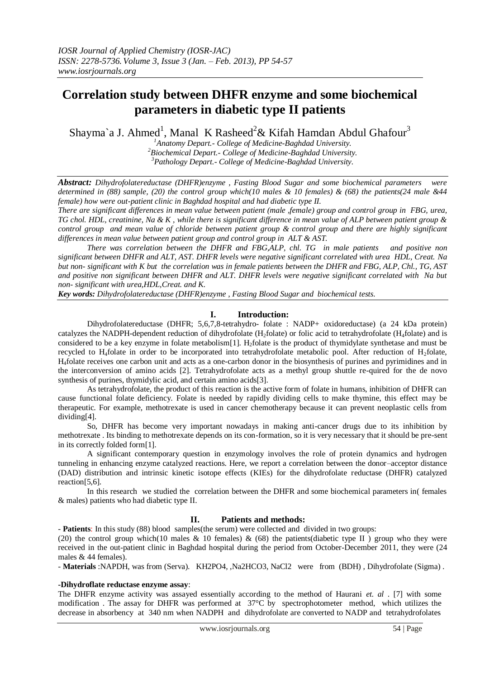# **Correlation study between DHFR enzyme and some biochemical parameters in diabetic type II patients**

Shayma`a J. Ahmed<sup>1</sup>, Manal K Rasheed<sup>2</sup>& Kifah Hamdan Abdul Ghafour<sup>3</sup>

*<sup>1</sup>Anatomy Depart.- College of Medicine-Baghdad University. <sup>2</sup>Biochemical Depart.- College of Medicine-Baghdad University. <sup>3</sup>Pathology Depart.- College of Medicine-Baghdad University.*

*Abstract: Dihydrofolatereductase (DHFR)enzyme , Fasting Blood Sugar and some biochemical parameters were determined in (88) sample, (20) the control group which(10 males & 10 females) & (68) the patients(24 male &44 female) how were out-patient clinic in Baghdad hospital and had diabetic type II.*

*There are significant differences in mean value between patient (male ,female) group and control group in FBG, urea, TG chol. HDL, creatinine, Na & K , while there is significant difference in mean value of ALP between patient group & control group and mean value of chloride between patient group & control group and there are highly significant differences in mean value between patient group and control group in ALT & AST.*

 *There was correlation between the DHFR and FBG,ALP, chl. TG in male patients and positive non significant between DHFR and ALT, AST. DHFR levels were negative significant correlated with urea HDL, Creat. Na but non- significant with K but the correlation was in female patients between the DHFR and FBG, ALP, Chl., TG, AST and positive non significant between DHFR and ALT. DHFR levels were negative significant correlated with Na but non- significant with urea,HDL,Creat. and K.* 

*Key words: Dihydrofolatereductase (DHFR)enzyme , Fasting Blood Sugar and biochemical tests.*

# **I. Introduction:**

Dihydrofolatereductase (DHFR; 5,6,7,8-tetrahydro- folate : NADP+ oxidoreductase) (a 24 kDa protein) catalyzes the NADPH-dependent reduction of dihydrofolate (H<sub>2</sub>folate) or folic acid to tetrahydrofolate (H<sub>4</sub>folate) and is considered to be a key enzyme in folate metabolism[1]. H<sub>2</sub>folate is the product of thymidylate synthetase and must be recycled to H<sub>4</sub>folate in order to be incorporated into tetrahydrofolate metabolic pool. After reduction of H<sub>2</sub>folate, H4folate receives one carbon unit and acts as a one-carbon donor in the biosynthesis of purines and pyrimidines and in the interconversion of amino acids [2]. Tetrahydrofolate acts as a methyl group shuttle re-quired for the de novo synthesis of purines, thymidylic acid, and certain amino acids[3].

As tetrahydrofolate, the product of this reaction is the active form of folate in humans, inhibition of DHFR can cause functional folate deficiency. Folate is needed by rapidly dividing cells to make thymine, this effect may be therapeutic. For example, methotrexate is used in cancer chemotherapy because it can prevent neoplastic cells from dividing[4].

So, DHFR has become very important nowadays in making anti-cancer drugs due to its inhibition by methotrexate . Its binding to methotrexate depends on its con-formation, so it is very necessary that it should be pre-sent in its correctly folded form[1].

 A significant contemporary question in enzymology involves the role of protein dynamics and hydrogen tunneling in enhancing enzyme catalyzed reactions. Here, we report a correlation between the donor–acceptor distance (DAD) distribution and intrinsic kinetic isotope effects (KIEs) for the dihydrofolate reductase (DHFR) catalyzed reaction[5,6].

 In this research we studied the correlation between the DHFR and some biochemical parameters in( females & males) patients who had diabetic type II.

# **II. Patients and methods:**

- **Patients**: In this study (88) blood samples(the serum) were collected and divided in two groups:

(20) the control group which(10 males  $\&$  10 females)  $\&$  (68) the patients(diabetic type II) group who they were received in the out-patient clinic in Baghdad hospital during the period from October-December 2011, they were (24 males & 44 females).

- **Materials** :NAPDH, was from (Serva). KH2PO4, ,Na2HCO3, NaCl2 were from (BDH) , Dihydrofolate (Sigma) .

## **-Dihydroflate reductase enzyme assay**:

The DHFR enzyme activity was assayed essentially according to the method of Haurani *et. al* . [7] with some modification . The assay for DHFR was performed at 37°C by spectrophotometer method, which utilizes the decrease in absorbency at 340 nm when NADPH and dihydrofolate are converted to NADP and tetrahydrofolates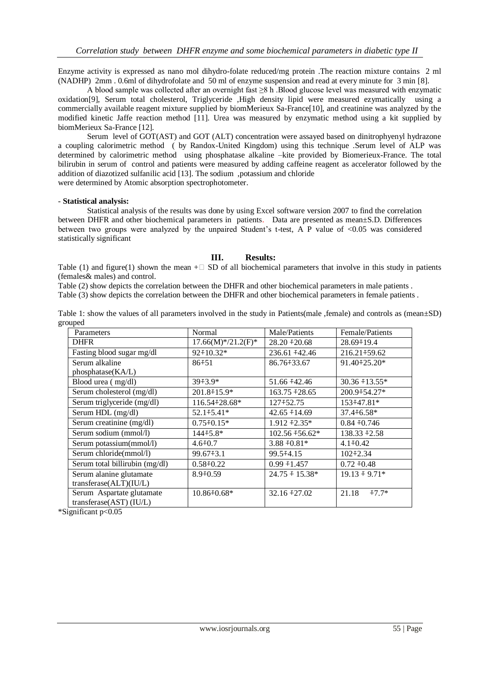Enzyme activity is expressed as nano mol dihydro-folate reduced/mg protein .The reaction mixture contains 2 ml (NADHP) 2mm . 0.6ml of dihydrofolate and 50 ml of enzyme suspension and read at every minute for 3 min [8].

A blood sample was collected after an overnight fast ≥8 h .Blood glucose level was measured with enzymatic oxidation[9], Serum total cholesterol, Triglyceride ,High density lipid were measured ezymatically using a commercially available reagent mixture supplied by biomMerieux Sa-France[10], and creatinine was analyzed by the modified kinetic Jaffe reaction method [11]. Urea was measured by enzymatic method using a kit supplied by biomMerieux Sa-France [12].

Serum level of GOT(AST) and GOT (ALT) concentration were assayed based on dinitrophyenyl hydrazone a coupling calorimetric method ( by Randox-United Kingdom) using this technique .Serum level of ALP was determined by calorimetric method using phosphatase alkaline –kite provided by Biomerieux-France. The total bilirubin in serum of control and patients were measured by adding caffeine reagent as accelerator followed by the addition of diazotized sulfanilic acid [13]. The sodium ,potassium and chloride

were determined by Atomic absorption spectrophotometer.

#### - **Statistical analysis:**

Statistical analysis of the results was done by using Excel software version 2007 to find the correlation between DHFR and other biochemical parameters in patients. Data are presented as mean±S.D. Differences between two groups were analyzed by the unpaired Student's t-test, A P value of <0.05 was considered statistically significant

### **III. Results:**

Table (1) and figure(1) shown the mean  $+ \Box$  SD of all biochemical parameters that involve in this study in patients (females& males) and control.

Table (2) show depicts the correlation between the DHFR and other biochemical parameters in male patients .

Table (3) show depicts the correlation between the DHFR and other biochemical parameters in female patients .

Table 1: show the values of all parameters involved in the study in Patients(male ,female) and controls as (mean±SD) grouped

| Parameters                     | Normal               | Male/Patients        | Female/Patients    |
|--------------------------------|----------------------|----------------------|--------------------|
| <b>DHFR</b>                    | $17.66(M)*/21.2(F)*$ | $28.20 + 20.68$      | 28.69+19.4         |
| Fasting blood sugar mg/dl      | 92+10.32*            | 236.61 +42.46        | 216.21 + 59.62     |
| Serum alkaline                 | $86 + 51$            | 86.76+33.67          | 91.40 + 25.20*     |
| phosphate(KA/L)                |                      |                      |                    |
| Blood urea (mg/dl)             | $39 + 3.9*$          | 51.66 +42.46         | $30.36 + 13.55*$   |
| Serum cholesterol (mg/dl)      | $201.8 \div 15.9^*$  | $163.75 + 28.65$     | 200.9+54.27*       |
| Serum triglyceride (mg/dl)     | 116.54+28.68*        | 127+52.75            | 153+47.81*         |
| Serum HDL (mg/dl)              | 52.1+5.41*           | $42.65 + 14.69$      | $37.4 \div 6.58^*$ |
| Serum creatinine (mg/dl)       | $0.75 \pm 0.15*$     | $1.912 \pm 2.35^*$   | $0.84 + 0.746$     |
| Serum sodium (mmol/l)          | 144+5.8*             | 102.56 +56.62*       | $138.33 + 2.58$    |
| Serum potassium(mmol/l)        | $4.6 + 0.7$          | $3.88 + 0.81*$       | $4.1 \div 0.42$    |
| Serum chloride(mmol/l)         | $99.67 \div 3.1$     | 99.5 + 4.15          | $102 + 2.34$       |
| Serum total billirubin (mg/dl) | $0.58 + 0.22$        | $0.99 + 1.457$       | $0.72 + 0.48$      |
| Serum alanine glutamate        | $8.9 + 0.59$         | $24.75 \div 15.38^*$ | $19.13 \div 9.71*$ |
| transferase(ALT)(IU/L)         |                      |                      |                    |
| Serum Aspartate glutamate      | $10.86 \div 0.68^*$  | $32.16 \div 27.02$   | 21.18<br>$-7.7*$   |
| transferase(AST) (IU/L)        |                      |                      |                    |

\*Significant p<0.05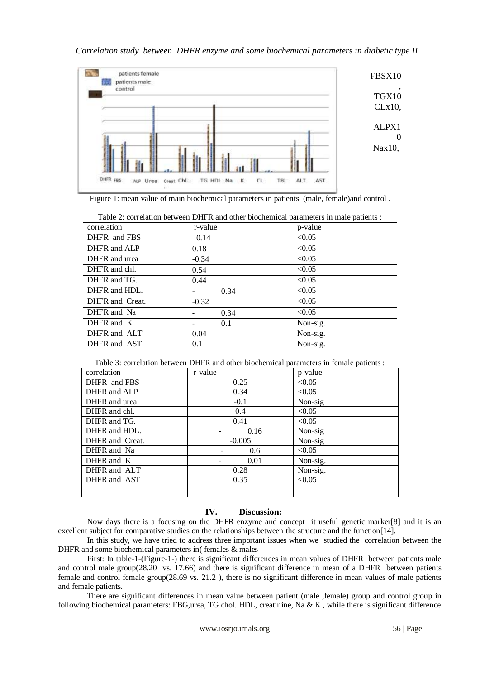

Figure 1: mean value of main biochemical parameters in patients (male, female)and control .

| Table 2: correlation between DHFR and other biochemical parameters in male patients : |         |          |  |  |
|---------------------------------------------------------------------------------------|---------|----------|--|--|
| correlation                                                                           | r-value | p-value  |  |  |
| DHFR and FBS                                                                          | 0.14    | < 0.05   |  |  |
| DHFR and ALP                                                                          | 0.18    | < 0.05   |  |  |
| DHFR and urea                                                                         | $-0.34$ | < 0.05   |  |  |
| DHFR and chl.                                                                         | 0.54    | < 0.05   |  |  |
| DHFR and TG.                                                                          | 0.44    | < 0.05   |  |  |
| DHFR and HDL.                                                                         | 0.34    | < 0.05   |  |  |
| DHFR and Creat.                                                                       | $-0.32$ | < 0.05   |  |  |
| DHFR and Na                                                                           | 0.34    | < 0.05   |  |  |
| DHFR and K                                                                            | 0.1     | Non-sig. |  |  |
| DHFR and ALT                                                                          | 0.04    | Non-sig. |  |  |
| DHFR and AST                                                                          | 0.1     | Non-sig. |  |  |

Table 3: correlation between DHFR and other biochemical parameters in female patients :

| correlation     | r-value  | p-value  |
|-----------------|----------|----------|
| DHFR and FBS    | 0.25     | < 0.05   |
| DHFR and ALP    | 0.34     | < 0.05   |
| DHFR and urea   | $-0.1$   | Non-sig  |
| DHFR and chl.   | 0.4      | < 0.05   |
| DHFR and TG.    | 0.41     | < 0.05   |
| DHFR and HDL.   | 0.16     | Non-sig  |
| DHFR and Creat. | $-0.005$ | Non-sig  |
| DHFR and Na     | 0.6      | < 0.05   |
| DHFR and K      | 0.01     | Non-sig. |
| DHFR and ALT    | 0.28     | Non-sig. |
| DHFR and AST    | 0.35     | < 0.05   |
|                 |          |          |

# **IV. Discussion:**

 Now days there is a focusing on the DHFR enzyme and concept it useful genetic marker[8] and it is an excellent subject for comparative studies on the relationships between the structure and the function[14].

 In this study, we have tried to address three important issues when we studied the correlation between the DHFR and some biochemical parameters in( females & males

First: In table-1-(Figure-1-) there is significant differences in mean values of DHFR between patients male and control male group(28.20 vs. 17.66) and there is significant difference in mean of a DHFR between patients female and control female group(28.69 vs. 21.2 ), there is no significant difference in mean values of male patients and female patients.

There are significant differences in mean value between patient (male ,female) group and control group in following biochemical parameters: FBG,urea, TG chol. HDL, creatinine, Na & K , while there is significant difference